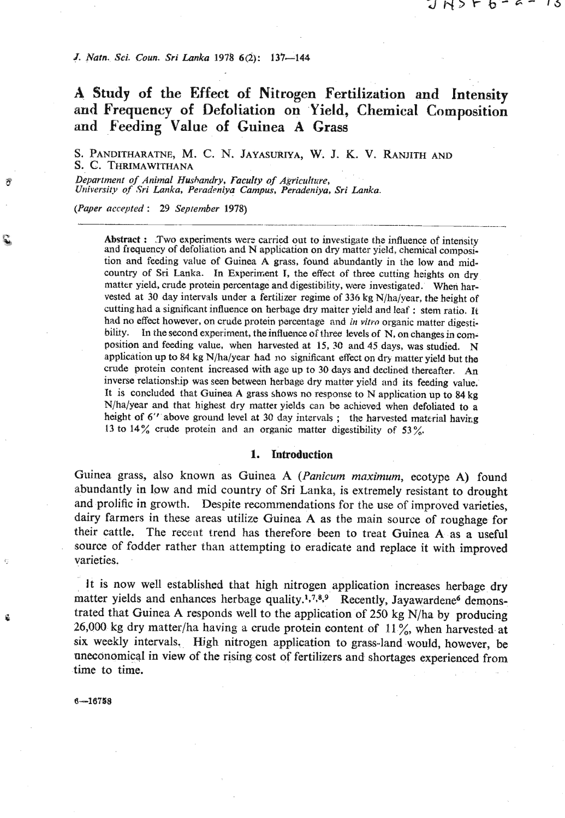J. Natn. Sci. Coun. Sri Lanka 1978 6(2): 137-144

# **X Study of the Effect of Nitrogen Fertilization and Intensity and Frequency of Defoliation on Yield, Chemical Composition and Feeding Value of Guinea A Grass**

S. PANDITHARATNE, M. C. N. JAYASUKIYA, **W.** J. K. V. RANJITH AND *S.* C. THRIMAWITHANA

*Department* of *Animal Hushandry, Faculty of Agricultrire, University* **of** *Sri Lanka, Peradcniya Campus, Peradeniya. Sri* **Lanka.** 

*(Paper nccepted* : *29 September 1978)* 

Abstract : Two experiments were carried out to investigate the influence of intensity and frequency of defoliation and N application on dry matter yield, chemical composition and feeding value of Guinea A grass, found abundantly in the low and midcountry of Sri Lanka. In Experiment **T,** the effect of three cutting heights on dry matter yield, crude protein percentage and digestibility, were investigated. When harvested at 30 day intervals under a fertilizer regime of 336 kg N/ha/year, the height of cutting had a significant influence on herbage dry maiter yield and leaf : stem ratio. **It**  had no effect however, on crude protein percentage and *in vitro* organic matter digestibility. In the second experiment, the influence of three levels of N, on changes in composition and feeding value, when harvested at **15. 30** and 45 days, was studied. N application up to 84 kg N/ha/year had no significant effect on dry matter yield but the crude protein content increased with ago up to **30** days and declined thereafter. An inverse relationship was seen between herbage dry matkr yield and its feeding value. It is concluded that Guinea **A** grass shows no response to N application up to 84 kg N/ha/year and that highest dry matter yields can be achieved when defoliated to a height of 6<sup>"</sup> above ground level at 30 day intervals; the harvested material having **13** to 14% crude protein and an organic matter digestibility **of 53%.** 

#### **1. Introduction**

Guinea grass, also known as Guinea A (Panicum maximum, ecotype A) found abundantly in low and mid country of Sri Lanka, is extremely resistant to drought and prolific in growth. Despite recommendations for the use of improved varieties, dairy farmers in these areas utilize Guinea A as the main source of roughage for their cattle. The recent trend has therefore been to treat Guinea A as a useful source of fodder rather than attempting to eradicate and replace it with improved varieties.

It is now well established that high nitrogen application increases herbage dry matter yields and enhances herbage quality.<sup>1,7,8,9</sup> Recently, Jayawardene<sup>6</sup> demonstrated that Guinea A responds well to the application of 250 kg **N/ha** by producing 26,000 kg dry matter/ha having a crude protein content of **11** %, when harvested at six weekly intervals. High nitrogen application to grass-land would, however, be nneconamicql in view of the rising cost of fertilizers and shortages experienced from time to time.

 $6 - 16758$ 

コトシトセード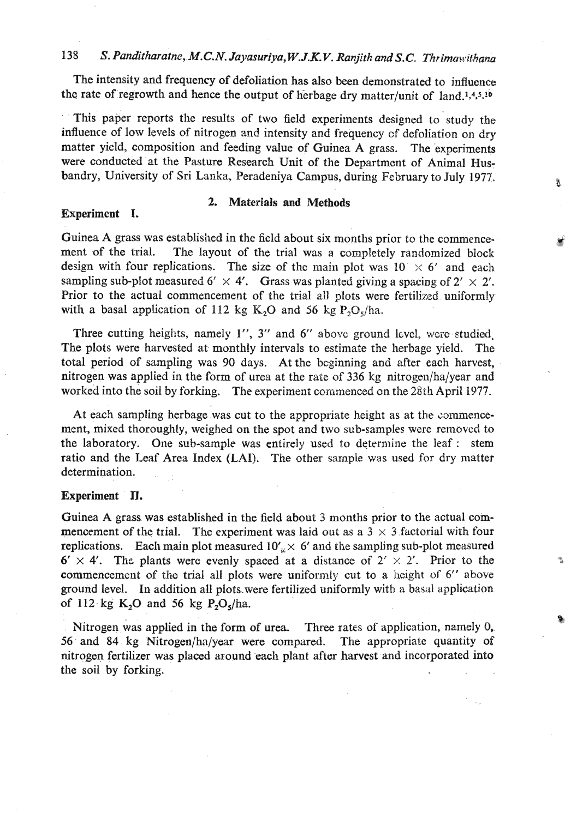## 138 S. Panditharatne, M.C.N. Jayasuriya, W.J.K.V. Ranjith and S.C. Thrimawithana

The intensity and frequency of defoliation has also been demonstrated to influence the rate of regrowth and hence the output of herbage dry matter/unit of  $~$ land.<sup>1,4,5,16</sup>

This paper reports the results of two field experiments designed to study the influence of low levels of nitrogen and intensity and frequency **cf** defoliation on dry matter yield, composition and feeding value of Guinea A grass. The experinents were conducted at the Pasture Research Unit of the Department of Animal Husbandry, University of Sri Lanka, Peradeniya Campus, during February to July **1977.** 

## **Experiment I.**

## **2. Materials and Methods**

Ã

Guinea A grass was established in the field about six months prior to the commencement of the trial. The layout of the trial was a completely randomized block design with four replications. The size of the main plot was  $10 \times 6'$  and each sampling sub-plot measured 6'  $\times$  4'. Grass was planted giving a spacing of 2'  $\times$  2'. Prior to the actual commencement of the trial **aU** plots were fertilized uniformly with a basal application of 112 kg K<sub>2</sub>O and 56 kg  $P_2O_5/ha$ .

Three cutting heights, namely 1'', 3" and 6" above ground level, were studied. The plots were harvested at monthly intervals to estimate the herbage yield. The total period of sampling was **90** days. At the beginning and after each harvest, nitrogen was applied in the form of urea at the rate of **336** kg nitrogen/ha/year and worked into the soil by forking. The experiment commenced on the 28th April 1977.

At each sampling herbage was cut to the appropriate height as at the commencement, mixed thoroughly, weighed on the spot and two sub-samples were removcd to the laboratory. One sub-sample was entirely used to determine the leaf : stem ratio and the Leaf Area Index (LAI). The other sample was used for dry matter determination.

### **Experiment** II.

Guinea A grass was established in the field about 3 months prior to the actual commencement of the trial. The experiment was laid out as a  $3 \times 3$  factorial with four replications. Each main plot measured  $10'_{\text{ex}} \times 6'$  and the sampling sub-plot measured  $6' \times 4'$ . The plants were evenly spaced at a distance of  $2' \times 2'$ . Prior to the commencement of the trial all plots were unifornly cut to a height of *6"* above ground level. In addition all plots.were fertilized uniformly with a basal application of 112 kg **K,O** and **56** kg P,O,/ha.

Nitrogen was applied in the form of urea. Three rates of application, namely **O,, 56** and **84 kg** Nitrogen/hn/year were compared. The appropriate quantity of nitrogen fertilizer was placed around each plant after harvest and incorporated into the soil by forking.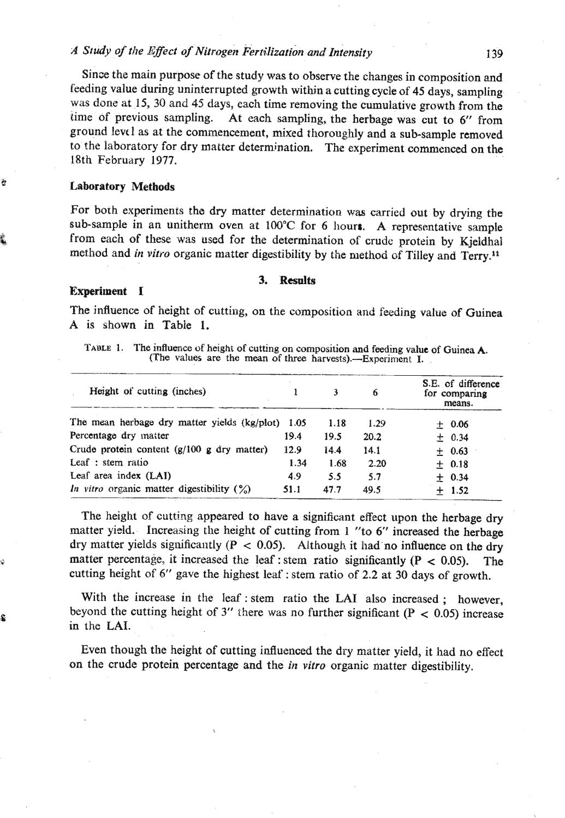## *A* **Sludy oJ** *tlle IZfect of Nitrogen kertilization and Intensity*

Since the main purpose of the study was to observe the changes in composition **and**  feeding value during uninterrupted growth within a cutting cycle of **45** days, sampling was done at **15,30** and 45 days, each time removing the cumulative growth from the time of previous sampling. At each sampling, the herbage was cut to 6" from ground levtl as at the commencement, mixed thoroughly and a sub-sample removed to **the** laboratory for dry matter determination. The experiment commenced on the 18th February 1977.

## a **Laboratory Methods**

For both experiments the dry matter determination **was** carried out by drying the sub-sample in an unitherm oven at 100°C for 6 hours. A representative sample from each of these was used for the determination of crude protein by Kjeldhal method and in **vitro** organic matter digestibility by the method of Tilley and Terry."

#### **Experiment I**

#### **3. Resnlts**

The influence of height of cutting, on the composition and feeding value of Guinea A is shown in Table 1.

| TABLE 1. | The influence of height of cutting on composition and feeding value of Guinea $A$ . |
|----------|-------------------------------------------------------------------------------------|
|          | (The values are the mean of three harvests).—Experiment I.                          |

| Height of cutting (inches)                        |      | ٦    | 6    | S.E. of difference<br>for comparing<br>means. |  |  |
|---------------------------------------------------|------|------|------|-----------------------------------------------|--|--|
| The mean herbage dry matter yields (kg/plot) 1.05 |      | 1.18 | 1.29 | $+$ 0.06                                      |  |  |
| Percentage dry matter                             | 19.4 | 19.5 | 20.2 | ± 0.34                                        |  |  |
| Crude protein content (g/100 g dry matter)        | 12.9 | 14.4 | 14.1 | ± 0.63                                        |  |  |
| Leaf : stem ratio                                 | 1.34 | 1.68 | 2.20 | $+0.18$                                       |  |  |
| Leaf area index (LAI)                             | 4.9  | 5.5  | 5.7  | $+ 0.34$                                      |  |  |
| In vitro organic matter digestibility $(\%)$      | 51.1 | 47.7 | 49.5 | 1.52                                          |  |  |

The height of cutting appeared to have a significant effect upon the herbage dry matter yidd. Increasing the height of cutting from 1 "to 6" increased the herbage dry matter yields significantly  $(P < 0.05)$ . Although it had no influence on the dry matter percentage, it increased the leaf : stem ratio significantly  $(P < 0.05)$ . The cutting height of 6" gave the highest leaf: stem ratio of 2.2 at 30 days of growth.

With the increase in the leaf : stem ratio the LAI also increased ; however, beyond the cutting height of 3" there was no further significant  $(P < 0.05)$  increase in **the** LAI.

> Even though the height of cutting influenced the dry matter yield, it had no effect on the crude protein percentage and the *in vitro* organic matter digestibility.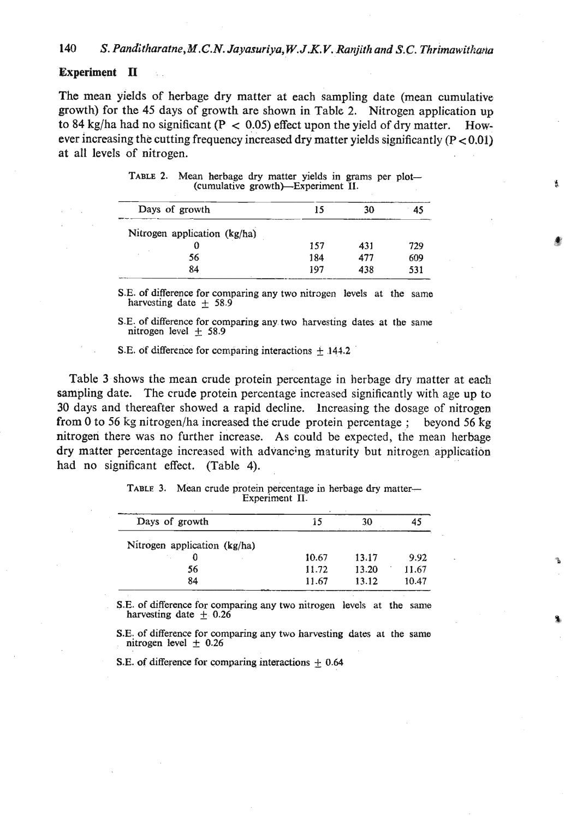## **Experiment II**

The mean yields of herbage dry matter at each sampling date (mean cumulative growth) for the 45 days of growth are shown in Table 2. Nitrogen application up to 84 kg/ha had no significant ( $P < 0.05$ ) effect upon the yield of dry matter. However increasing the cutting frequency increased dry matter yields significantly  $(P < 0.01)$ at all levels of nitrogen.

| Days of growth               | 15  | 30  | 45  |
|------------------------------|-----|-----|-----|
| Nitrogen application (kg/ha) |     |     |     |
|                              | 157 | 431 | 729 |
| 56                           | 184 | 477 | 609 |
| 84                           | 197 | 438 | 531 |

|  | TABLE 2. Mean herbage dry matter yields in grams per plot— |  |  |  |  |
|--|------------------------------------------------------------|--|--|--|--|
|  | (cumulative growth)—Experiment II.                         |  |  |  |  |

š.

S.E. of difference for comparing any two nitrogen levels at the same harvesting date  $+ 58.9$ 

**S.E.** of difference for comparing any two harvesting dates at the same nitrogen level +\_ **58.9** 

S.E. of difference for comparing interactions  $\pm$  144.2

Table **3** shows the mean crude protein percentage in herbage dry matter at each sampling date. The crude protein percentage increased significantly with age up to **30** days and thereafter showed a rapid decline. lncreasing the dosage of nitrogen from 0 to 56 kg nitrogen/ha increased the crude protein percentage ; beyond 56 kg nitrogeri there was no further increase. As could be expected, the mean herbage dry matter percentage increased with advancing maturity but nitrogen application had no significant effect. (Table 4).

| TABLE 3. Mean crude protein percentage in herbage dry matter— |                |  |  |
|---------------------------------------------------------------|----------------|--|--|
|                                                               | Experiment II. |  |  |

| Days of growth               | 15    | 30    | 45    |
|------------------------------|-------|-------|-------|
| Nitrogen application (kg/ha) |       |       |       |
|                              | 10.67 | 13.17 | 9.92  |
| 56                           | 11.72 | 13.20 | 11.67 |
| 84<br>---                    | 11.67 | 13.12 | 10.47 |

**S.E. of difference for comparing any two nitrogen levels at the same harvesting date**  $\pm$  **0.26** 

S.E. of difference for comparing any two harvesting dates at the same nitrogen level  $\pm$  0.26

**S.E. of** difference for comparing interactions **f** 0.64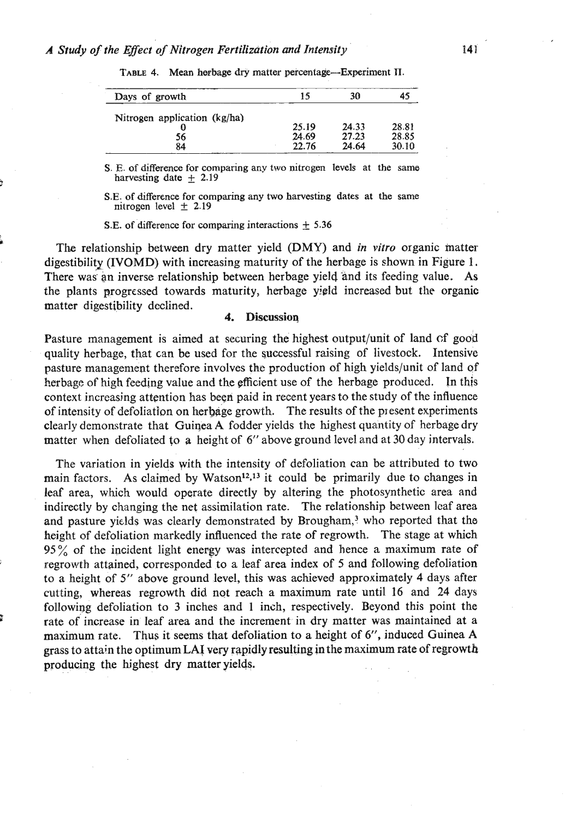| Days of growth               | 15    | 30    | 45    |
|------------------------------|-------|-------|-------|
| Nitrogen application (kg/ha) |       |       |       |
|                              | 25.19 | 24.33 | 28.81 |
| 56                           | 24.69 | 27.23 | 28.85 |
| 84                           | 22.76 | 24.64 | 30.10 |

TABLE 4. Mean herbage dry matter percentage-Experiment II.

**S. E. of difference for comparing any two nitragen levels at the same**  harvesting date  $\pm$  2.19

**S.E.** of difference for comparing any two harvesting dates at the same  $n$ itrogen level  $\pm$  2.19

**S.E. of difference for comparing interactions** + **5.36** 

**I The** relationship between dry matter yield (DMY) and *in vitro* organic matter digestibility (IVOMD) with increasing maturity of the herbage is shown in Figure 1. There was an inverse relationship between herbage yield and its feeding value. As the plants progressed towards maturity, herbage yield increased but the organic matter digestibility declined.

## **4. Discussion**

Pasture management is aimed at securing the highest output/unit of land **cf** good quality herbage, that can be used for the successful raising of livestock. Intensive pasture management therefore involves the production of high yields/unit of land of herbage of high feeding value and the pfficient use of the herbage produced. In this context increasing attention has been paid in recent years to the study of the influence of intensity of defoliation on herbage growth. The results of the present experiments clearly demonstrate that Guiqea A fodder yields the highest quantity of herbage dry matter when defoliated **fo** a height of *6"* above ground level and at **30** day intervals.

The variation in yields yith the intensity of defoliation can be attributed to two main factors. As claimed by Watson<sup>12,13</sup> it could be primarily due to changes in leaf area, which would operate directly by altering the photosynthetic area and indirectly by changing the net assimilation rate. The relationship between leaf area and pasture yields was clearly demonstrated by Brougham,<sup>3</sup> who reported that the height of defoliation markedly influenced the rate of regrowth. The stage at which 95% of the incident light energy was intercepted and hence a maximum rate of ) regrowth attained, corresponded to a leaf area index of 5 and following defoliation to a height of 5" above ground level, this was achieved approximately 4 days after cutting, whereas regrowth did not reach a maximum rate until 16 and **24** days following defoliation to **3** inches and 1 inch, respectively. Beyond this point the rate of increase in leaf area and the increment in dry matter was maintained at a maximum rate. Thus it seems that defoliation to a height of *6",* induced Guinea A grass to attain the optimum LA! very rapidly resultingin the maximum rate of regrowth producing the highest dry matter yields.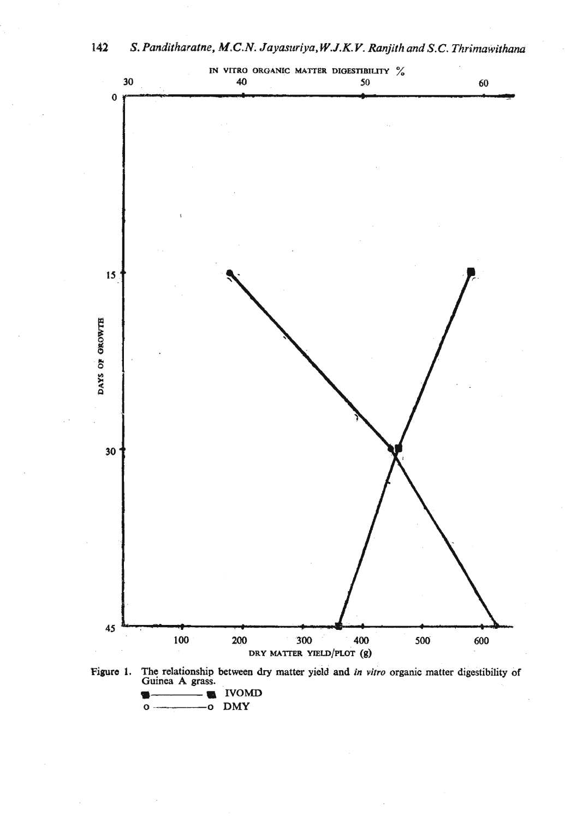

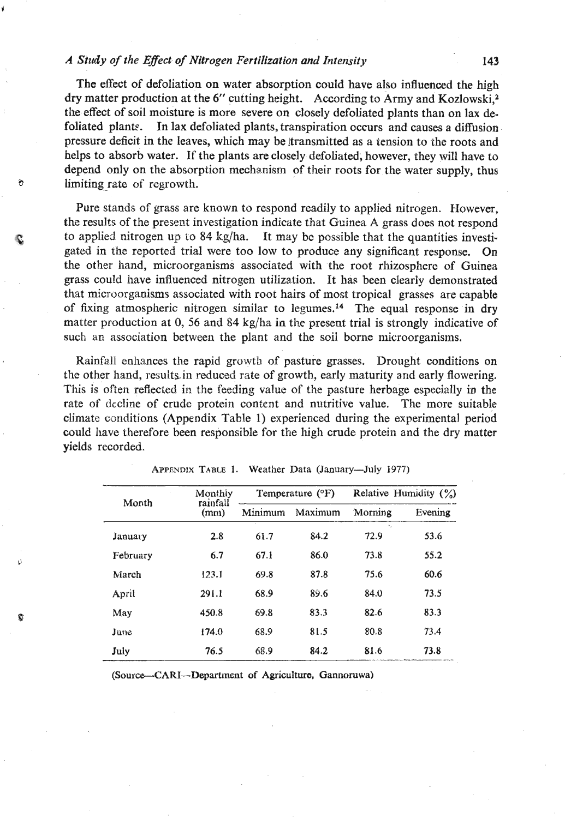## *A Sttrdy of the Eflect of Nitrogen Fertilization and Intensity*

The effect of defoliation on water absorption could have also influenced the high dry matter production at the 6" cutting height. According to Army and Kozlowski, $^{2}$ the effect of soil moisture is more severe on closely defoliated plants than on lax defoliated plant?. In lax defoliated plants, transpiration occurs and causes a diffusion pressure deficit in the leaves, which may be !transmitted as a tension to the roots and helps to absorb water. If the plants are closely defoliated, however, they will have to depend only on the absorption mechanism of their roots for the water supply, thus limiting rate of regrowth.

Pure stands of grass are known to respond readily to applied nitrogen. However, the results of the present investigation indicate that Guinea A grass does not respond to applied nitrogen up to 84 kg/ha. It may be possible that the quantities investigated in the reported trial were too low to produce any significant response. On the other hand, microorganisms associated with the root rhizosphere of Guinea grass could have influenced nitrogen utilization. It has been clearly demonstrated that microorganisms associated with root hairs of most tropical grasses are capable of fixing atmospheric nitrogen similar to legumes.<sup>14</sup> The equal response in dry matter production at 0, 56 and 84 kg/ha in the present trial is strongly indicative of such an association between the plant and the soil borne microorganisms.

Rainfall enhances the rapid growth of pasture grasses. Drought conditions on the other hand, results in reduced rate of growth, early maturity and early flowering. This is often reflected in the feeding value of the pasture herbage especially in the rate of decline of crude protein content and nutritive value. The more suitable climate csnditions (Appendix Table 1) experienced during the experimental period could have therefore been responsible for the **high** crude protein and the dry matter yields recorded.

|          | Monthiy          |         | Temperature $(°F)$ | Relative Humidity $(\%)$ |         |  |
|----------|------------------|---------|--------------------|--------------------------|---------|--|
| Month    | rainfall<br>(mm) | Minimum | Maximum            | Morning                  | Evening |  |
| January  | 2.8              | 61.7    | 84.2               | ×,<br>72.9               | 53.6    |  |
| February | 6.7              | 67.1    | 86.0               | 73.8                     | 55.2    |  |
| March    | 123.1            | 69.8    | 87.8               | 75.6                     | 60.6    |  |
| April    | 291.1            | 68.9    | 89.6               | 84.0                     | 73.5    |  |
| May      | 450.8            | 69.8    | 83.3               | 82.6                     | 83.3    |  |
| June     | 174.0            | 68.9    | 81.5               | 80.8                     | 73.4    |  |
| July     | 76.5             | 68.9    | 84.2               | 81.6                     | 73.8    |  |

|  |  |  |  |  | APPENDIX TABLE 1. Weather Data (January—July 1977) |  |  |
|--|--|--|--|--|----------------------------------------------------|--|--|
|--|--|--|--|--|----------------------------------------------------|--|--|

(Source--CARI--Department of Agriculture, Gannoruwa)

c

143